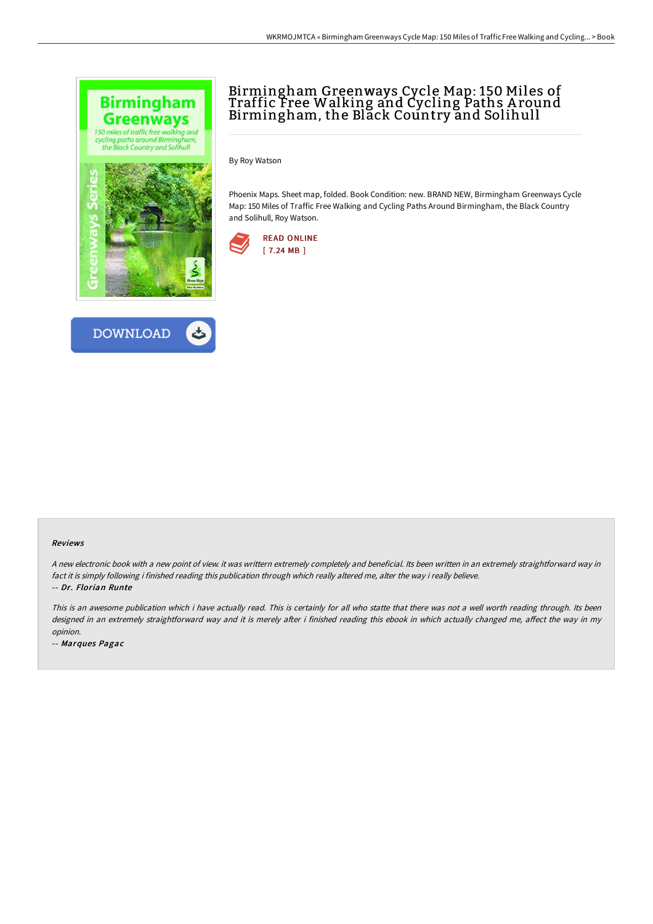



## Birmingham Greenways Cycle Map: 150 Miles of Traffic Free Walking and Cycling Paths A round Birmingham, the Black Country and Solihull

By Roy Watson

Phoenix Maps. Sheet map, folded. Book Condition: new. BRAND NEW, Birmingham Greenways Cycle Map: 150 Miles of Traffic Free Walking and Cycling Paths Around Birmingham, the Black Country and Solihull, Roy Watson.



## Reviews

<sup>A</sup> new electronic book with <sup>a</sup> new point of view. it was writtern extremely completely and beneficial. Its been written in an extremely straightforward way in fact it is simply following i finished reading this publication through which really altered me, alter the way i really believe. -- Dr. Florian Runte

This is an awesome publication which i have actually read. This is certainly for all who statte that there was not <sup>a</sup> well worth reading through. Its been designed in an extremely straightforward way and it is merely after i finished reading this ebook in which actually changed me, affect the way in my opinion.

-- Marques Pagac